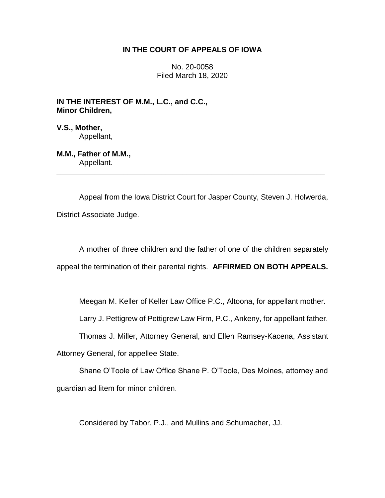# **IN THE COURT OF APPEALS OF IOWA**

No. 20-0058 Filed March 18, 2020

**IN THE INTEREST OF M.M., L.C., and C.C., Minor Children,**

**V.S., Mother,** Appellant,

**M.M., Father of M.M.,** Appellant.

Appeal from the Iowa District Court for Jasper County, Steven J. Holwerda, District Associate Judge.

\_\_\_\_\_\_\_\_\_\_\_\_\_\_\_\_\_\_\_\_\_\_\_\_\_\_\_\_\_\_\_\_\_\_\_\_\_\_\_\_\_\_\_\_\_\_\_\_\_\_\_\_\_\_\_\_\_\_\_\_\_\_\_\_

A mother of three children and the father of one of the children separately appeal the termination of their parental rights. **AFFIRMED ON BOTH APPEALS.**

Meegan M. Keller of Keller Law Office P.C., Altoona, for appellant mother.

Larry J. Pettigrew of Pettigrew Law Firm, P.C., Ankeny, for appellant father.

Thomas J. Miller, Attorney General, and Ellen Ramsey-Kacena, Assistant

Attorney General, for appellee State.

Shane O'Toole of Law Office Shane P. O'Toole, Des Moines, attorney and guardian ad litem for minor children.

Considered by Tabor, P.J., and Mullins and Schumacher, JJ.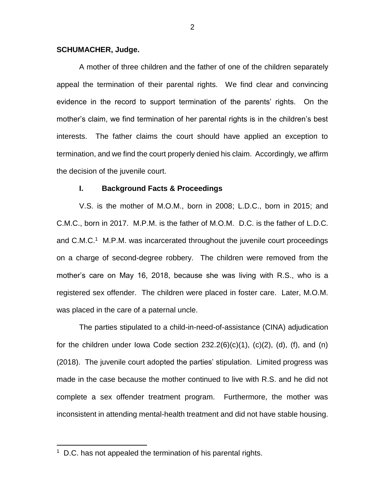## **SCHUMACHER, Judge.**

A mother of three children and the father of one of the children separately appeal the termination of their parental rights. We find clear and convincing evidence in the record to support termination of the parents' rights. On the mother's claim, we find termination of her parental rights is in the children's best interests. The father claims the court should have applied an exception to termination, and we find the court properly denied his claim. Accordingly, we affirm the decision of the juvenile court.

## **I. Background Facts & Proceedings**

V.S. is the mother of M.O.M., born in 2008; L.D.C., born in 2015; and C.M.C., born in 2017. M.P.M. is the father of M.O.M. D.C. is the father of L.D.C. and C.M.C.<sup>1</sup> M.P.M. was incarcerated throughout the juvenile court proceedings on a charge of second-degree robbery. The children were removed from the mother's care on May 16, 2018, because she was living with R.S., who is a registered sex offender. The children were placed in foster care. Later, M.O.M. was placed in the care of a paternal uncle.

The parties stipulated to a child-in-need-of-assistance (CINA) adjudication for the children under Iowa Code section  $232.2(6)(c)(1)$ ,  $(c)(2)$ ,  $(d)$ ,  $(f)$ , and  $(h)$ (2018). The juvenile court adopted the parties' stipulation. Limited progress was made in the case because the mother continued to live with R.S. and he did not complete a sex offender treatment program. Furthermore, the mother was inconsistent in attending mental-health treatment and did not have stable housing.

 $\overline{a}$ 

<sup>&</sup>lt;sup>1</sup> D.C. has not appealed the termination of his parental rights.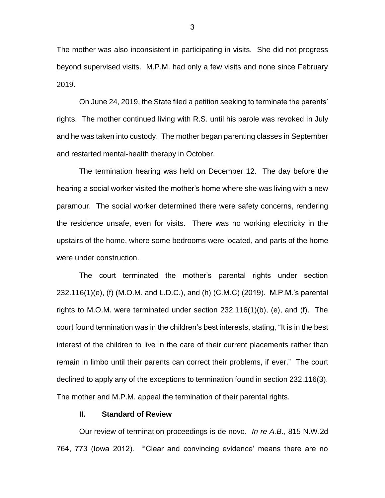The mother was also inconsistent in participating in visits. She did not progress beyond supervised visits. M.P.M. had only a few visits and none since February 2019.

On June 24, 2019, the State filed a petition seeking to terminate the parents' rights. The mother continued living with R.S. until his parole was revoked in July and he was taken into custody. The mother began parenting classes in September and restarted mental-health therapy in October.

The termination hearing was held on December 12. The day before the hearing a social worker visited the mother's home where she was living with a new paramour. The social worker determined there were safety concerns, rendering the residence unsafe, even for visits. There was no working electricity in the upstairs of the home, where some bedrooms were located, and parts of the home were under construction.

The court terminated the mother's parental rights under section 232.116(1)(e), (f) (M.O.M. and L.D.C.), and (h) (C.M.C) (2019). M.P.M.'s parental rights to M.O.M. were terminated under section 232.116(1)(b), (e), and (f). The court found termination was in the children's best interests, stating, "It is in the best interest of the children to live in the care of their current placements rather than remain in limbo until their parents can correct their problems, if ever." The court declined to apply any of the exceptions to termination found in section 232.116(3). The mother and M.P.M. appeal the termination of their parental rights.

## **II. Standard of Review**

Our review of termination proceedings is de novo. *In re A.B.*, 815 N.W.2d 764, 773 (Iowa 2012). "'Clear and convincing evidence' means there are no

3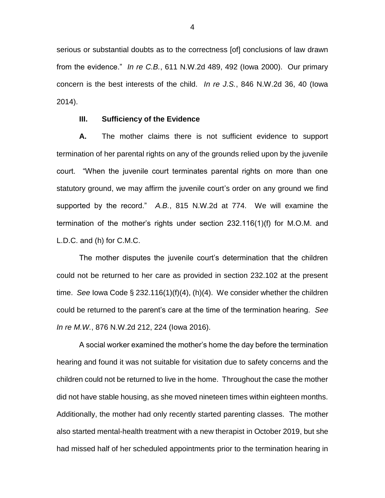serious or substantial doubts as to the correctness [of] conclusions of law drawn from the evidence." *In re C.B.*, 611 N.W.2d 489, 492 (Iowa 2000). Our primary concern is the best interests of the child. *In re J.S.*, 846 N.W.2d 36, 40 (Iowa 2014).

#### **III. Sufficiency of the Evidence**

**A.** The mother claims there is not sufficient evidence to support termination of her parental rights on any of the grounds relied upon by the juvenile court. "When the juvenile court terminates parental rights on more than one statutory ground, we may affirm the juvenile court's order on any ground we find supported by the record." *A.B.*, 815 N.W.2d at 774. We will examine the termination of the mother's rights under section 232.116(1)(f) for M.O.M. and L.D.C. and (h) for C.M.C.

The mother disputes the juvenile court's determination that the children could not be returned to her care as provided in section 232.102 at the present time. *See* Iowa Code § 232.116(1)(f)(4), (h)(4). We consider whether the children could be returned to the parent's care at the time of the termination hearing. *See In re M.W.*, 876 N.W.2d 212, 224 (Iowa 2016).

A social worker examined the mother's home the day before the termination hearing and found it was not suitable for visitation due to safety concerns and the children could not be returned to live in the home. Throughout the case the mother did not have stable housing, as she moved nineteen times within eighteen months. Additionally, the mother had only recently started parenting classes. The mother also started mental-health treatment with a new therapist in October 2019, but she had missed half of her scheduled appointments prior to the termination hearing in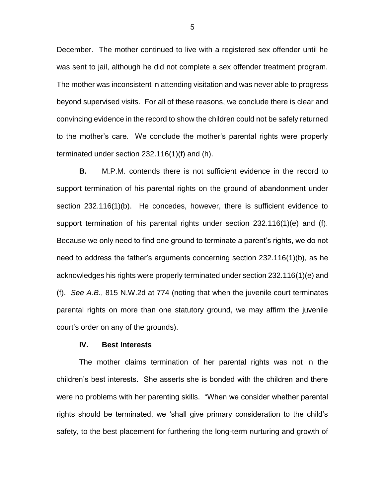December. The mother continued to live with a registered sex offender until he was sent to jail, although he did not complete a sex offender treatment program. The mother was inconsistent in attending visitation and was never able to progress beyond supervised visits. For all of these reasons, we conclude there is clear and convincing evidence in the record to show the children could not be safely returned to the mother's care. We conclude the mother's parental rights were properly terminated under section 232.116(1)(f) and (h).

**B.** M.P.M. contends there is not sufficient evidence in the record to support termination of his parental rights on the ground of abandonment under section 232.116(1)(b). He concedes, however, there is sufficient evidence to support termination of his parental rights under section 232.116(1)(e) and (f). Because we only need to find one ground to terminate a parent's rights, we do not need to address the father's arguments concerning section 232.116(1)(b), as he acknowledges his rights were properly terminated under section 232.116(1)(e) and (f). *See A.B.*, 815 N.W.2d at 774 (noting that when the juvenile court terminates parental rights on more than one statutory ground, we may affirm the juvenile court's order on any of the grounds).

## **IV. Best Interests**

The mother claims termination of her parental rights was not in the children's best interests. She asserts she is bonded with the children and there were no problems with her parenting skills. "When we consider whether parental rights should be terminated, we 'shall give primary consideration to the child's safety, to the best placement for furthering the long-term nurturing and growth of

5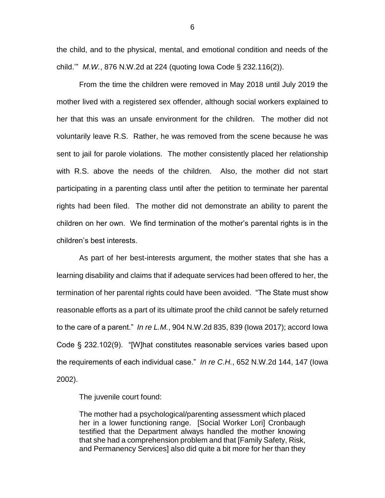the child, and to the physical, mental, and emotional condition and needs of the child.'" *M.W.*, 876 N.W.2d at 224 (quoting Iowa Code § 232.116(2)).

From the time the children were removed in May 2018 until July 2019 the mother lived with a registered sex offender, although social workers explained to her that this was an unsafe environment for the children. The mother did not voluntarily leave R.S. Rather, he was removed from the scene because he was sent to jail for parole violations. The mother consistently placed her relationship with R.S. above the needs of the children. Also, the mother did not start participating in a parenting class until after the petition to terminate her parental rights had been filed. The mother did not demonstrate an ability to parent the children on her own. We find termination of the mother's parental rights is in the children's best interests.

As part of her best-interests argument, the mother states that she has a learning disability and claims that if adequate services had been offered to her, the termination of her parental rights could have been avoided. "The State must show reasonable efforts as a part of its ultimate proof the child cannot be safely returned to the care of a parent." *In re L.M.*, 904 N.W.2d 835, 839 (Iowa 2017); accord Iowa Code § 232.102(9). "[W]hat constitutes reasonable services varies based upon the requirements of each individual case." *In re C.H.*, 652 N.W.2d 144, 147 (Iowa 2002).

The juvenile court found:

The mother had a psychological/parenting assessment which placed her in a lower functioning range. [Social Worker Lori] Cronbaugh testified that the Department always handled the mother knowing that she had a comprehension problem and that [Family Safety, Risk, and Permanency Services] also did quite a bit more for her than they

6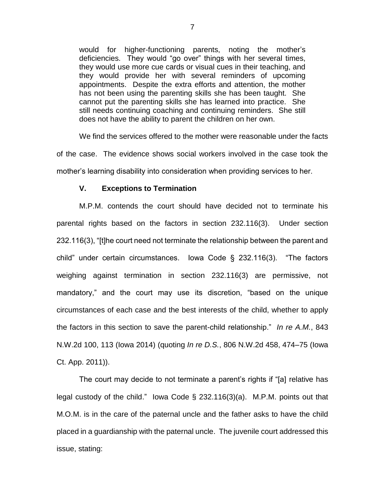would for higher-functioning parents, noting the mother's deficiencies. They would "go over" things with her several times, they would use more cue cards or visual cues in their teaching, and they would provide her with several reminders of upcoming appointments. Despite the extra efforts and attention, the mother has not been using the parenting skills she has been taught. She cannot put the parenting skills she has learned into practice. She still needs continuing coaching and continuing reminders. She still does not have the ability to parent the children on her own.

We find the services offered to the mother were reasonable under the facts of the case. The evidence shows social workers involved in the case took the mother's learning disability into consideration when providing services to her.

## **V. Exceptions to Termination**

M.P.M. contends the court should have decided not to terminate his parental rights based on the factors in section 232.116(3). Under section 232.116(3), "[t]he court need not terminate the relationship between the parent and child" under certain circumstances. Iowa Code § 232.116(3). "The factors weighing against termination in section 232.116(3) are permissive, not mandatory," and the court may use its discretion, "based on the unique circumstances of each case and the best interests of the child, whether to apply the factors in this section to save the parent-child relationship." *In re A.M.*, 843 N.W.2d 100, 113 (Iowa 2014) (quoting *In re D.S.*, 806 N.W.2d 458, 474–75 (Iowa Ct. App. 2011)).

The court may decide to not terminate a parent's rights if "[a] relative has legal custody of the child." Iowa Code § 232.116(3)(a). M.P.M. points out that M.O.M. is in the care of the paternal uncle and the father asks to have the child placed in a guardianship with the paternal uncle. The juvenile court addressed this issue, stating: